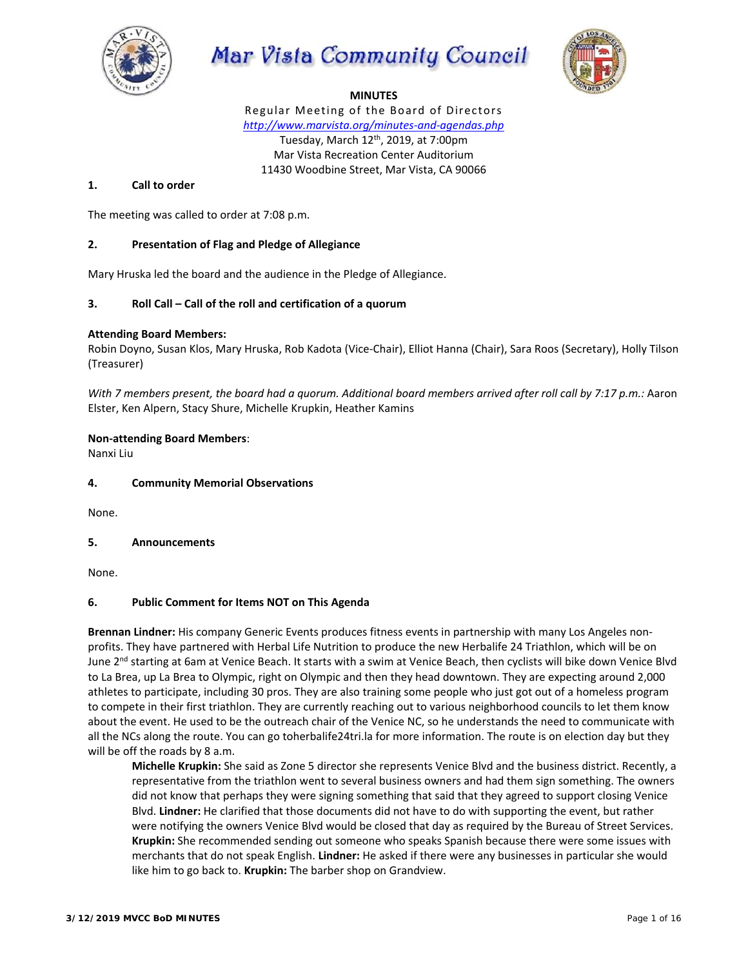

Mar Vista Community Council



## **MINUTES**

Regular Meeting of the Board of Directors *http://www.marvista.org/minutes‐and‐agendas.php*  Tuesday, March 12<sup>th</sup>, 2019, at 7:00pm Mar Vista Recreation Center Auditorium 11430 Woodbine Street, Mar Vista, CA 90066

## **1. Call to order**

The meeting was called to order at 7:08 p.m.

## **2. Presentation of Flag and Pledge of Allegiance**

Mary Hruska led the board and the audience in the Pledge of Allegiance.

## **3. Roll Call – Call of the roll and certification of a quorum**

### **Attending Board Members:**

Robin Doyno, Susan Klos, Mary Hruska, Rob Kadota (Vice‐Chair), Elliot Hanna (Chair), Sara Roos (Secretary), Holly Tilson (Treasurer)

*With 7 members present, the board had a quorum. Additional board members arrived after roll call by 7:17 p.m.: Aaron* Elster, Ken Alpern, Stacy Shure, Michelle Krupkin, Heather Kamins

## **Non‐attending Board Members**:

Nanxi Liu

### **4. Community Memorial Observations**

None.

## **5. Announcements**

None.

### **6. Public Comment for Items NOT on This Agenda**

**Brennan Lindner:** His company Generic Events produces fitness events in partnership with many Los Angeles non‐ profits. They have partnered with Herbal Life Nutrition to produce the new Herbalife 24 Triathlon, which will be on June 2<sup>nd</sup> starting at 6am at Venice Beach. It starts with a swim at Venice Beach, then cyclists will bike down Venice Blvd to La Brea, up La Brea to Olympic, right on Olympic and then they head downtown. They are expecting around 2,000 athletes to participate, including 30 pros. They are also training some people who just got out of a homeless program to compete in their first triathlon. They are currently reaching out to various neighborhood councils to let them know about the event. He used to be the outreach chair of the Venice NC, so he understands the need to communicate with all the NCs along the route. You can go toherbalife24tri.la for more information. The route is on election day but they will be off the roads by 8 a.m.

**Michelle Krupkin:** She said as Zone 5 director she represents Venice Blvd and the business district. Recently, a representative from the triathlon went to several business owners and had them sign something. The owners did not know that perhaps they were signing something that said that they agreed to support closing Venice Blvd. **Lindner:** He clarified that those documents did not have to do with supporting the event, but rather were notifying the owners Venice Blvd would be closed that day as required by the Bureau of Street Services. **Krupkin:** She recommended sending out someone who speaks Spanish because there were some issues with merchants that do not speak English. **Lindner:** He asked if there were any businesses in particular she would like him to go back to. **Krupkin:** The barber shop on Grandview.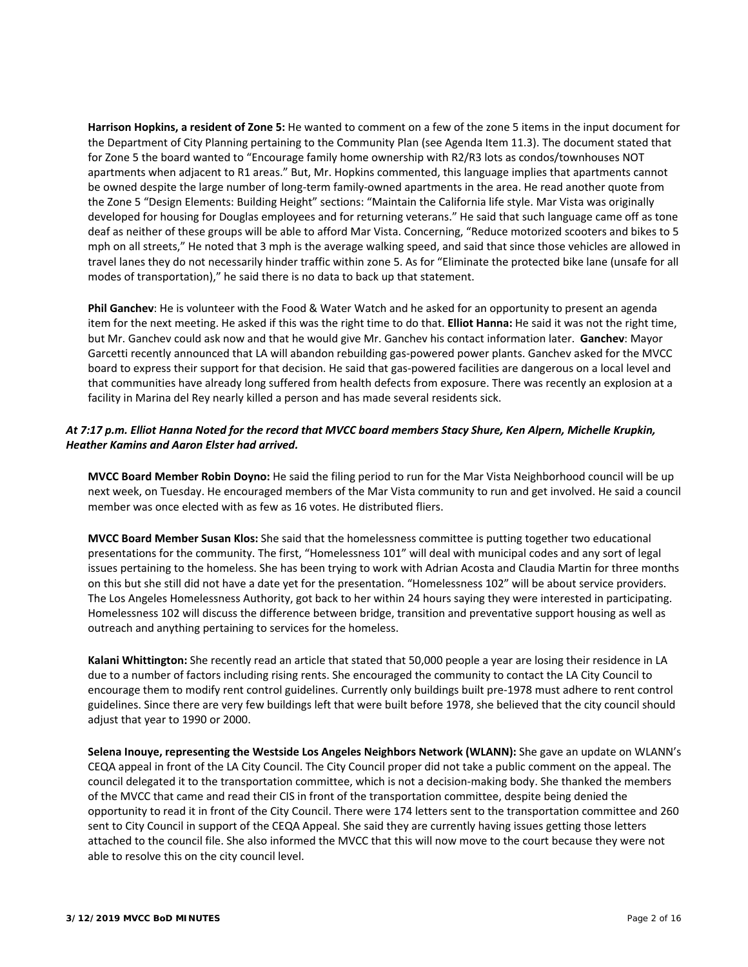**Harrison Hopkins, a resident of Zone 5:** He wanted to comment on a few of the zone 5 items in the input document for the Department of City Planning pertaining to the Community Plan (see Agenda Item 11.3). The document stated that for Zone 5 the board wanted to "Encourage family home ownership with R2/R3 lots as condos/townhouses NOT apartments when adjacent to R1 areas." But, Mr. Hopkins commented, this language implies that apartments cannot be owned despite the large number of long-term family-owned apartments in the area. He read another quote from the Zone 5 "Design Elements: Building Height" sections: "Maintain the California life style. Mar Vista was originally developed for housing for Douglas employees and for returning veterans." He said that such language came off as tone deaf as neither of these groups will be able to afford Mar Vista. Concerning, "Reduce motorized scooters and bikes to 5 mph on all streets," He noted that 3 mph is the average walking speed, and said that since those vehicles are allowed in travel lanes they do not necessarily hinder traffic within zone 5. As for "Eliminate the protected bike lane (unsafe for all modes of transportation)," he said there is no data to back up that statement.

**Phil Ganchev**: He is volunteer with the Food & Water Watch and he asked for an opportunity to present an agenda item for the next meeting. He asked if this was the right time to do that. **Elliot Hanna:** He said it was not the right time, but Mr. Ganchev could ask now and that he would give Mr. Ganchev his contact information later. **Ganchev**: Mayor Garcetti recently announced that LA will abandon rebuilding gas-powered power plants. Ganchev asked for the MVCC board to express their support for that decision. He said that gas‐powered facilities are dangerous on a local level and that communities have already long suffered from health defects from exposure. There was recently an explosion at a facility in Marina del Rey nearly killed a person and has made several residents sick.

# *At 7:17 p.m. Elliot Hanna Noted for the record that MVCC board members Stacy Shure, Ken Alpern, Michelle Krupkin, Heather Kamins and Aaron Elster had arrived.*

**MVCC Board Member Robin Doyno:** He said the filing period to run for the Mar Vista Neighborhood council will be up next week, on Tuesday. He encouraged members of the Mar Vista community to run and get involved. He said a council member was once elected with as few as 16 votes. He distributed fliers.

**MVCC Board Member Susan Klos:** She said that the homelessness committee is putting together two educational presentations for the community. The first, "Homelessness 101" will deal with municipal codes and any sort of legal issues pertaining to the homeless. She has been trying to work with Adrian Acosta and Claudia Martin for three months on this but she still did not have a date yet for the presentation. "Homelessness 102" will be about service providers. The Los Angeles Homelessness Authority, got back to her within 24 hours saying they were interested in participating. Homelessness 102 will discuss the difference between bridge, transition and preventative support housing as well as outreach and anything pertaining to services for the homeless.

**Kalani Whittington:** She recently read an article that stated that 50,000 people a year are losing their residence in LA due to a number of factors including rising rents. She encouraged the community to contact the LA City Council to encourage them to modify rent control guidelines. Currently only buildings built pre‐1978 must adhere to rent control guidelines. Since there are very few buildings left that were built before 1978, she believed that the city council should adjust that year to 1990 or 2000.

**Selena Inouye, representing the Westside Los Angeles Neighbors Network (WLANN):** She gave an update on WLANN's CEQA appeal in front of the LA City Council. The City Council proper did not take a public comment on the appeal. The council delegated it to the transportation committee, which is not a decision‐making body. She thanked the members of the MVCC that came and read their CIS in front of the transportation committee, despite being denied the opportunity to read it in front of the City Council. There were 174 letters sent to the transportation committee and 260 sent to City Council in support of the CEQA Appeal. She said they are currently having issues getting those letters attached to the council file. She also informed the MVCC that this will now move to the court because they were not able to resolve this on the city council level.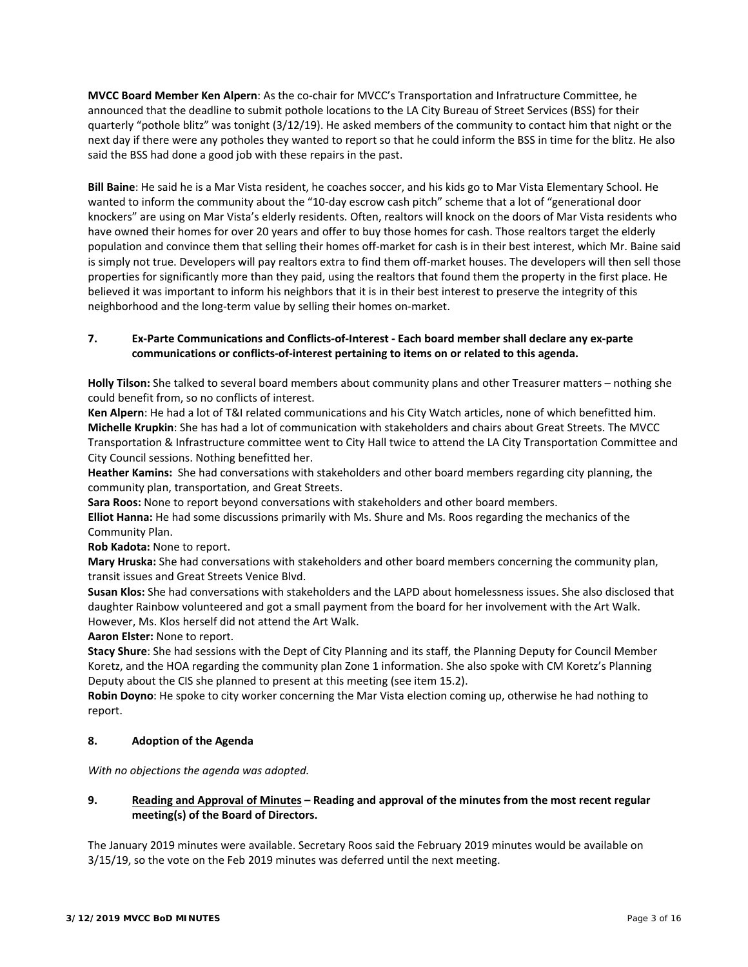**MVCC Board Member Ken Alpern**: As the co‐chair for MVCC's Transportation and Infratructure Committee, he announced that the deadline to submit pothole locations to the LA City Bureau of Street Services (BSS) for their quarterly "pothole blitz" was tonight (3/12/19). He asked members of the community to contact him that night or the next day if there were any potholes they wanted to report so that he could inform the BSS in time for the blitz. He also said the BSS had done a good job with these repairs in the past.

**Bill Baine**: He said he is a Mar Vista resident, he coaches soccer, and his kids go to Mar Vista Elementary School. He wanted to inform the community about the "10-day escrow cash pitch" scheme that a lot of "generational door knockers" are using on Mar Vista's elderly residents. Often, realtors will knock on the doors of Mar Vista residents who have owned their homes for over 20 years and offer to buy those homes for cash. Those realtors target the elderly population and convince them that selling their homes off-market for cash is in their best interest, which Mr. Baine said is simply not true. Developers will pay realtors extra to find them off-market houses. The developers will then sell those properties for significantly more than they paid, using the realtors that found them the property in the first place. He believed it was important to inform his neighbors that it is in their best interest to preserve the integrity of this neighborhood and the long‐term value by selling their homes on‐market.

# **7. Ex‐Parte Communications and Conflicts‐of‐Interest ‐ Each board member shall declare any ex‐parte communications or conflicts‐of‐interest pertaining to items on or related to this agenda.**

**Holly Tilson:** She talked to several board members about community plans and other Treasurer matters – nothing she could benefit from, so no conflicts of interest.

**Ken Alpern**: He had a lot of T&I related communications and his City Watch articles, none of which benefitted him. **Michelle Krupkin**: She has had a lot of communication with stakeholders and chairs about Great Streets. The MVCC Transportation & Infrastructure committee went to City Hall twice to attend the LA City Transportation Committee and City Council sessions. Nothing benefitted her.

**Heather Kamins:** She had conversations with stakeholders and other board members regarding city planning, the community plan, transportation, and Great Streets.

**Sara Roos:** None to report beyond conversations with stakeholders and other board members.

**Elliot Hanna:** He had some discussions primarily with Ms. Shure and Ms. Roos regarding the mechanics of the Community Plan.

**Rob Kadota:** None to report.

**Mary Hruska:** She had conversations with stakeholders and other board members concerning the community plan, transit issues and Great Streets Venice Blvd.

**Susan Klos:** She had conversations with stakeholders and the LAPD about homelessness issues. She also disclosed that daughter Rainbow volunteered and got a small payment from the board for her involvement with the Art Walk. However, Ms. Klos herself did not attend the Art Walk.

**Aaron Elster:** None to report.

**Stacy Shure**: She had sessions with the Dept of City Planning and its staff, the Planning Deputy for Council Member Koretz, and the HOA regarding the community plan Zone 1 information. She also spoke with CM Koretz's Planning Deputy about the CIS she planned to present at this meeting (see item 15.2).

**Robin Doyno**: He spoke to city worker concerning the Mar Vista election coming up, otherwise he had nothing to report.

# **8. Adoption of the Agenda**

*With no objections the agenda was adopted.* 

# **9. Reading and Approval of Minutes – Reading and approval of the minutes from the most recent regular meeting(s) of the Board of Directors.**

The January 2019 minutes were available. Secretary Roos said the February 2019 minutes would be available on 3/15/19, so the vote on the Feb 2019 minutes was deferred until the next meeting.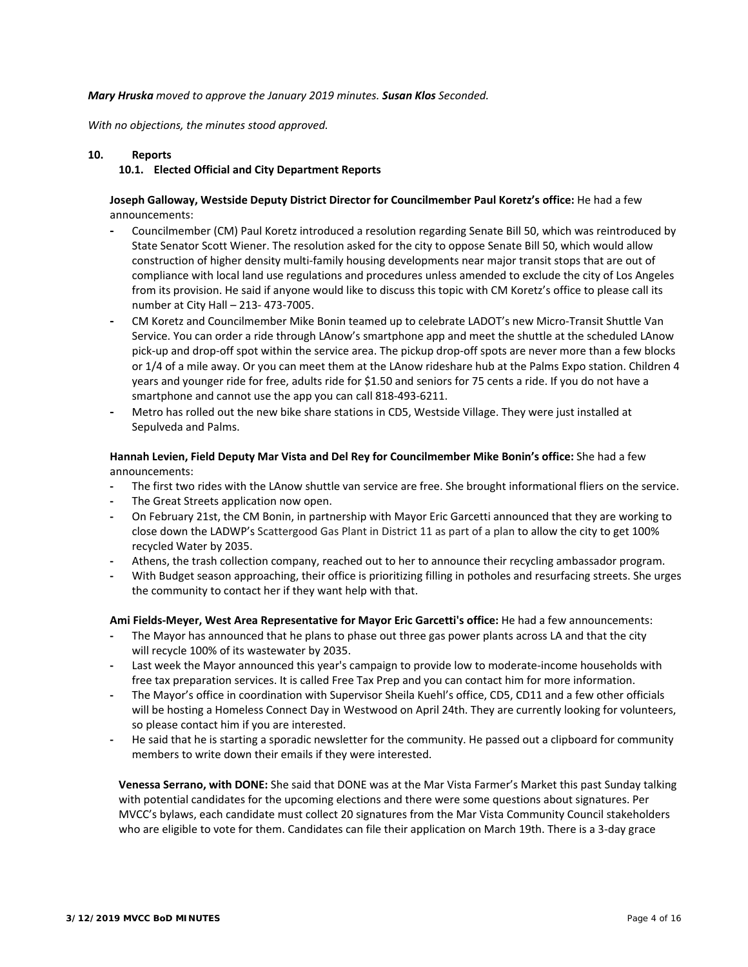### *Mary Hruska moved to approve the January 2019 minutes. Susan Klos Seconded.*

*With no objections, the minutes stood approved.* 

### **10. Reports**

#### **10.1. Elected Official and City Department Reports**

## **Joseph Galloway, Westside Deputy District Director for Councilmember Paul Koretz's office:** He had a few announcements:

- **‐** Councilmember (CM) Paul Koretz introduced a resolution regarding Senate Bill 50, which was reintroduced by State Senator Scott Wiener. The resolution asked for the city to oppose Senate Bill 50, which would allow construction of higher density multi‐family housing developments near major transit stops that are out of compliance with local land use regulations and procedures unless amended to exclude the city of Los Angeles from its provision. He said if anyone would like to discuss this topic with CM Koretz's office to please call its number at City Hall – 213‐ 473‐7005.
- **‐** CM Koretz and Councilmember Mike Bonin teamed up to celebrate LADOT's new Micro‐Transit Shuttle Van Service. You can order a ride through LAnow's smartphone app and meet the shuttle at the scheduled LAnow pick‐up and drop‐off spot within the service area. The pickup drop‐off spots are never more than a few blocks or 1/4 of a mile away. Or you can meet them at the LAnow rideshare hub at the Palms Expo station. Children 4 years and younger ride for free, adults ride for \$1.50 and seniors for 75 cents a ride. If you do not have a smartphone and cannot use the app you can call 818‐493‐6211.
- **‐** Metro has rolled out the new bike share stations in CD5, Westside Village. They were just installed at Sepulveda and Palms.

**Hannah Levien, Field Deputy Mar Vista and Del Rey for Councilmember Mike Bonin's office:** She had a few announcements:

- **‐** The first two rides with the LAnow shuttle van service are free. She brought informational fliers on the service.
- The Great Streets application now open.
- **‐** On February 21st, the CM Bonin, in partnership with Mayor Eric Garcetti announced that they are working to close down the LADWP's Scattergood Gas Plant in District 11 as part of a plan to allow the city to get 100% recycled Water by 2035.
- **‐** Athens, the trash collection company, reached out to her to announce their recycling ambassador program.
- **‐** With Budget season approaching, their office is prioritizing filling in potholes and resurfacing streets. She urges the community to contact her if they want help with that.

**Ami Fields‐Meyer, West Area Representative for Mayor Eric Garcetti's office:** He had a few announcements:

- **‐** The Mayor has announced that he plans to phase out three gas power plants across LA and that the city will recycle 100% of its wastewater by 2035.
- **‐** Last week the Mayor announced this year's campaign to provide low to moderate‐income households with free tax preparation services. It is called Free Tax Prep and you can contact him for more information.
- **‐** The Mayor's office in coordination with Supervisor Sheila Kuehl's office, CD5, CD11 and a few other officials will be hosting a Homeless Connect Day in Westwood on April 24th. They are currently looking for volunteers, so please contact him if you are interested.
- **‐** He said that he is starting a sporadic newsletter for the community. He passed out a clipboard for community members to write down their emails if they were interested.

**Venessa Serrano, with DONE:** She said that DONE was at the Mar Vista Farmer's Market this past Sunday talking with potential candidates for the upcoming elections and there were some questions about signatures. Per MVCC's bylaws, each candidate must collect 20 signatures from the Mar Vista Community Council stakeholders who are eligible to vote for them. Candidates can file their application on March 19th. There is a 3‐day grace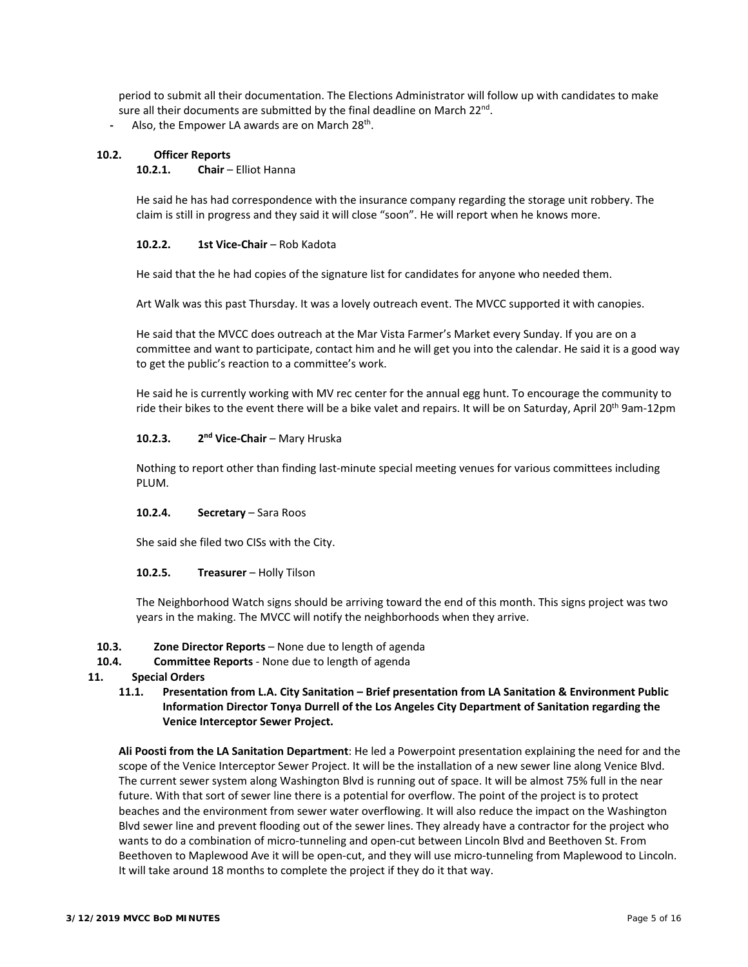period to submit all their documentation. The Elections Administrator will follow up with candidates to make sure all their documents are submitted by the final deadline on March 22<sup>nd</sup>.

**‐** Also, the Empower LA awards are on March 28th.

## **10.2. Officer Reports**

### 10.2.1. **Chair** – Elliot Hanna

He said he has had correspondence with the insurance company regarding the storage unit robbery. The claim is still in progress and they said it will close "soon". He will report when he knows more.

### **10.2.2. 1st Vice‐Chair** – Rob Kadota

He said that the he had copies of the signature list for candidates for anyone who needed them.

Art Walk was this past Thursday. It was a lovely outreach event. The MVCC supported it with canopies.

He said that the MVCC does outreach at the Mar Vista Farmer's Market every Sunday. If you are on a committee and want to participate, contact him and he will get you into the calendar. He said it is a good way to get the public's reaction to a committee's work.

He said he is currently working with MV rec center for the annual egg hunt. To encourage the community to ride their bikes to the event there will be a bike valet and repairs. It will be on Saturday, April 20<sup>th</sup> 9am-12pm

## **10.2.3. 2<sup>nd</sup> Vice-Chair** – Mary Hruska

Nothing to report other than finding last‐minute special meeting venues for various committees including PLUM.

### 10.2.4. **Secretary** – Sara Roos

She said she filed two CISs with the City.

### **10.2.5. Treasurer** – Holly Tilson

The Neighborhood Watch signs should be arriving toward the end of this month. This signs project was two years in the making. The MVCC will notify the neighborhoods when they arrive.

- **10.3. Zone Director Reports**  None due to length of agenda
- **10.4. Committee Reports** ‐ None due to length of agenda

## **11. Special Orders**

**11.1. Presentation from L.A. City Sanitation – Brief presentation from LA Sanitation & Environment Public Information Director Tonya Durrell of the Los Angeles City Department of Sanitation regarding the Venice Interceptor Sewer Project.**

**Ali Poosti from the LA Sanitation Department**: He led a Powerpoint presentation explaining the need for and the scope of the Venice Interceptor Sewer Project. It will be the installation of a new sewer line along Venice Blvd. The current sewer system along Washington Blvd is running out of space. It will be almost 75% full in the near future. With that sort of sewer line there is a potential for overflow. The point of the project is to protect beaches and the environment from sewer water overflowing. It will also reduce the impact on the Washington Blvd sewer line and prevent flooding out of the sewer lines. They already have a contractor for the project who wants to do a combination of micro-tunneling and open-cut between Lincoln Blvd and Beethoven St. From Beethoven to Maplewood Ave it will be open‐cut, and they will use micro‐tunneling from Maplewood to Lincoln. It will take around 18 months to complete the project if they do it that way.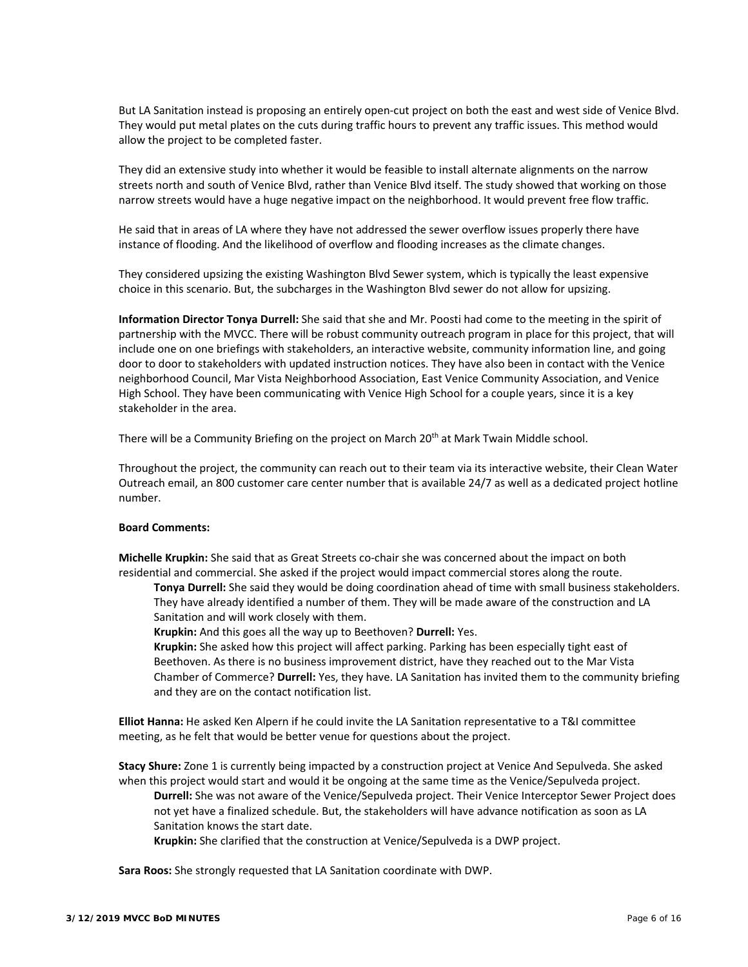But LA Sanitation instead is proposing an entirely open‐cut project on both the east and west side of Venice Blvd. They would put metal plates on the cuts during traffic hours to prevent any traffic issues. This method would allow the project to be completed faster.

They did an extensive study into whether it would be feasible to install alternate alignments on the narrow streets north and south of Venice Blvd, rather than Venice Blvd itself. The study showed that working on those narrow streets would have a huge negative impact on the neighborhood. It would prevent free flow traffic.

He said that in areas of LA where they have not addressed the sewer overflow issues properly there have instance of flooding. And the likelihood of overflow and flooding increases as the climate changes.

They considered upsizing the existing Washington Blvd Sewer system, which is typically the least expensive choice in this scenario. But, the subcharges in the Washington Blvd sewer do not allow for upsizing.

**Information Director Tonya Durrell:** She said that she and Mr. Poosti had come to the meeting in the spirit of partnership with the MVCC. There will be robust community outreach program in place for this project, that will include one on one briefings with stakeholders, an interactive website, community information line, and going door to door to stakeholders with updated instruction notices. They have also been in contact with the Venice neighborhood Council, Mar Vista Neighborhood Association, East Venice Community Association, and Venice High School. They have been communicating with Venice High School for a couple years, since it is a key stakeholder in the area.

There will be a Community Briefing on the project on March 20<sup>th</sup> at Mark Twain Middle school.

Throughout the project, the community can reach out to their team via its interactive website, their Clean Water Outreach email, an 800 customer care center number that is available 24/7 as well as a dedicated project hotline number.

#### **Board Comments:**

**Michelle Krupkin:** She said that as Great Streets co-chair she was concerned about the impact on both residential and commercial. She asked if the project would impact commercial stores along the route.

**Tonya Durrell:** She said they would be doing coordination ahead of time with small business stakeholders. They have already identified a number of them. They will be made aware of the construction and LA Sanitation and will work closely with them.

**Krupkin:** And this goes all the way up to Beethoven? **Durrell:** Yes.

**Krupkin:** She asked how this project will affect parking. Parking has been especially tight east of Beethoven. As there is no business improvement district, have they reached out to the Mar Vista Chamber of Commerce? **Durrell:** Yes, they have. LA Sanitation has invited them to the community briefing and they are on the contact notification list.

**Elliot Hanna:** He asked Ken Alpern if he could invite the LA Sanitation representative to a T&I committee meeting, as he felt that would be better venue for questions about the project.

**Stacy Shure:** Zone 1 is currently being impacted by a construction project at Venice And Sepulveda. She asked when this project would start and would it be ongoing at the same time as the Venice/Sepulveda project.

**Durrell:** She was not aware of the Venice/Sepulveda project. Their Venice Interceptor Sewer Project does not yet have a finalized schedule. But, the stakeholders will have advance notification as soon as LA Sanitation knows the start date.

**Krupkin:** She clarified that the construction at Venice/Sepulveda is a DWP project.

**Sara Roos:** She strongly requested that LA Sanitation coordinate with DWP.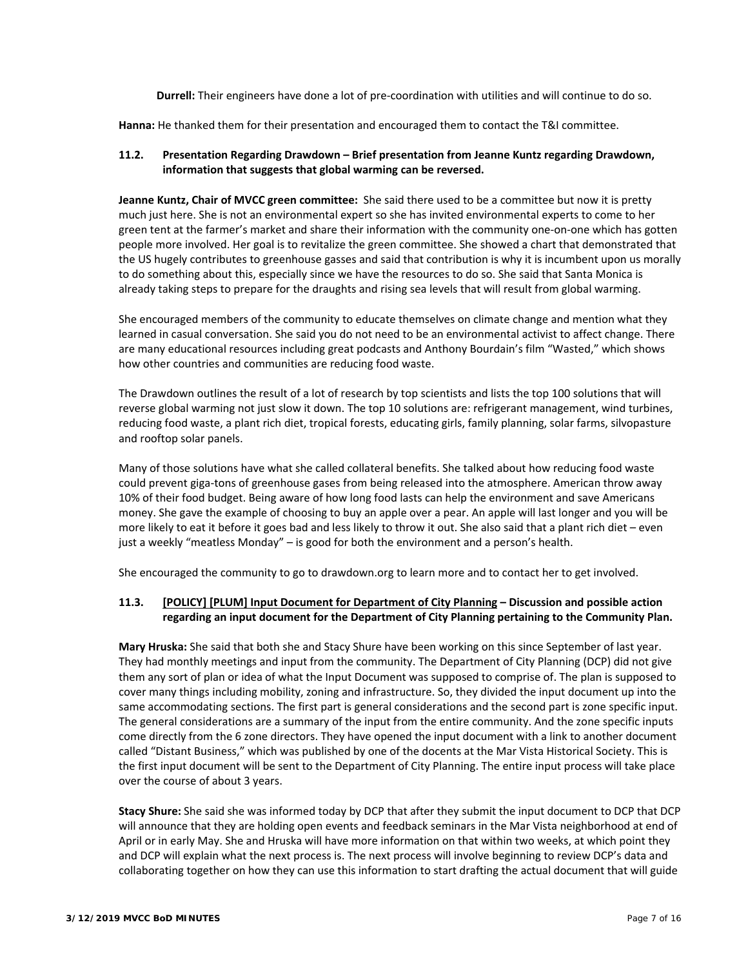**Durrell:** Their engineers have done a lot of pre-coordination with utilities and will continue to do so.

**Hanna:** He thanked them for their presentation and encouraged them to contact the T&I committee.

## **11.2. Presentation Regarding Drawdown – Brief presentation from Jeanne Kuntz regarding Drawdown, information that suggests that global warming can be reversed.**

**Jeanne Kuntz, Chair of MVCC green committee:** She said there used to be a committee but now it is pretty much just here. She is not an environmental expert so she has invited environmental experts to come to her green tent at the farmer's market and share their information with the community one‐on‐one which has gotten people more involved. Her goal is to revitalize the green committee. She showed a chart that demonstrated that the US hugely contributes to greenhouse gasses and said that contribution is why it is incumbent upon us morally to do something about this, especially since we have the resources to do so. She said that Santa Monica is already taking steps to prepare for the draughts and rising sea levels that will result from global warming.

She encouraged members of the community to educate themselves on climate change and mention what they learned in casual conversation. She said you do not need to be an environmental activist to affect change. There are many educational resources including great podcasts and Anthony Bourdain's film "Wasted," which shows how other countries and communities are reducing food waste.

The Drawdown outlines the result of a lot of research by top scientists and lists the top 100 solutions that will reverse global warming not just slow it down. The top 10 solutions are: refrigerant management, wind turbines, reducing food waste, a plant rich diet, tropical forests, educating girls, family planning, solar farms, silvopasture and rooftop solar panels.

Many of those solutions have what she called collateral benefits. She talked about how reducing food waste could prevent giga‐tons of greenhouse gases from being released into the atmosphere. American throw away 10% of their food budget. Being aware of how long food lasts can help the environment and save Americans money. She gave the example of choosing to buy an apple over a pear. An apple will last longer and you will be more likely to eat it before it goes bad and less likely to throw it out. She also said that a plant rich diet – even just a weekly "meatless Monday" – is good for both the environment and a person's health.

She encouraged the community to go to drawdown.org to learn more and to contact her to get involved.

## **11.3. [POLICY] [PLUM] Input Document for Department of City Planning – Discussion and possible action regarding an input document for the Department of City Planning pertaining to the Community Plan.**

**Mary Hruska:** She said that both she and Stacy Shure have been working on this since September of last year. They had monthly meetings and input from the community. The Department of City Planning (DCP) did not give them any sort of plan or idea of what the Input Document was supposed to comprise of. The plan is supposed to cover many things including mobility, zoning and infrastructure. So, they divided the input document up into the same accommodating sections. The first part is general considerations and the second part is zone specific input. The general considerations are a summary of the input from the entire community. And the zone specific inputs come directly from the 6 zone directors. They have opened the input document with a link to another document called "Distant Business," which was published by one of the docents at the Mar Vista Historical Society. This is the first input document will be sent to the Department of City Planning. The entire input process will take place over the course of about 3 years.

**Stacy Shure:** She said she was informed today by DCP that after they submit the input document to DCP that DCP will announce that they are holding open events and feedback seminars in the Mar Vista neighborhood at end of April or in early May. She and Hruska will have more information on that within two weeks, at which point they and DCP will explain what the next process is. The next process will involve beginning to review DCP's data and collaborating together on how they can use this information to start drafting the actual document that will guide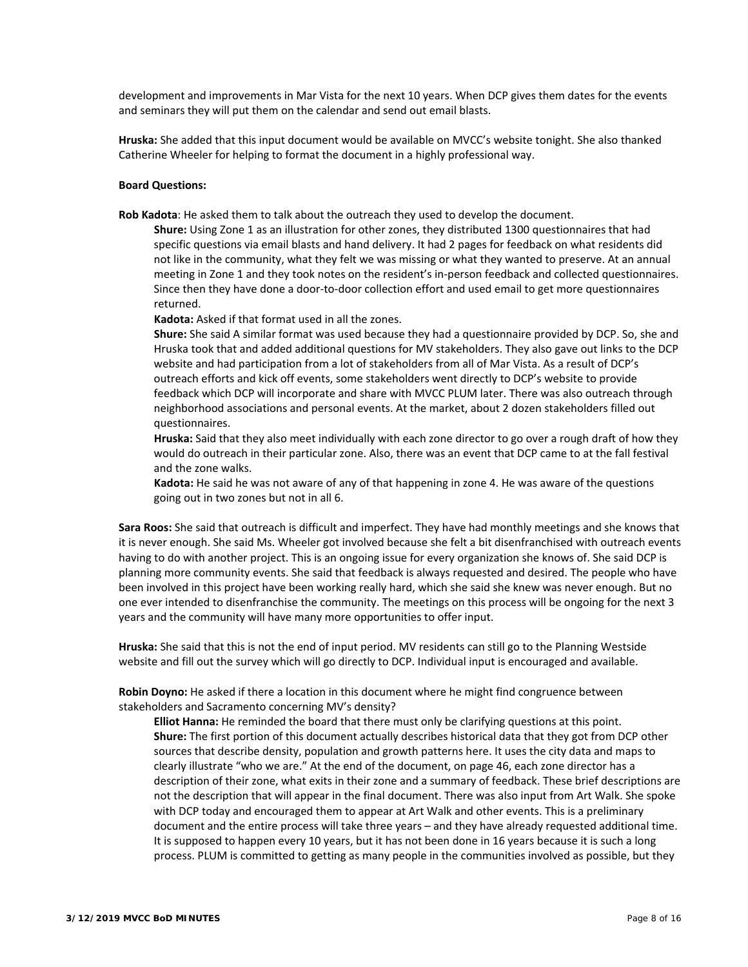development and improvements in Mar Vista for the next 10 years. When DCP gives them dates for the events and seminars they will put them on the calendar and send out email blasts.

**Hruska:** She added that this input document would be available on MVCC's website tonight. She also thanked Catherine Wheeler for helping to format the document in a highly professional way.

#### **Board Questions:**

**Rob Kadota**: He asked them to talk about the outreach they used to develop the document.

**Shure:** Using Zone 1 as an illustration for other zones, they distributed 1300 questionnaires that had specific questions via email blasts and hand delivery. It had 2 pages for feedback on what residents did not like in the community, what they felt we was missing or what they wanted to preserve. At an annual meeting in Zone 1 and they took notes on the resident's in-person feedback and collected questionnaires. Since then they have done a door‐to‐door collection effort and used email to get more questionnaires returned.

**Kadota:** Asked if that format used in all the zones.

**Shure:** She said A similar format was used because they had a questionnaire provided by DCP. So, she and Hruska took that and added additional questions for MV stakeholders. They also gave out links to the DCP website and had participation from a lot of stakeholders from all of Mar Vista. As a result of DCP's outreach efforts and kick off events, some stakeholders went directly to DCP's website to provide feedback which DCP will incorporate and share with MVCC PLUM later. There was also outreach through neighborhood associations and personal events. At the market, about 2 dozen stakeholders filled out questionnaires.

**Hruska:** Said that they also meet individually with each zone director to go over a rough draft of how they would do outreach in their particular zone. Also, there was an event that DCP came to at the fall festival and the zone walks.

**Kadota:** He said he was not aware of any of that happening in zone 4. He was aware of the questions going out in two zones but not in all 6.

**Sara Roos:** She said that outreach is difficult and imperfect. They have had monthly meetings and she knows that it is never enough. She said Ms. Wheeler got involved because she felt a bit disenfranchised with outreach events having to do with another project. This is an ongoing issue for every organization she knows of. She said DCP is planning more community events. She said that feedback is always requested and desired. The people who have been involved in this project have been working really hard, which she said she knew was never enough. But no one ever intended to disenfranchise the community. The meetings on this process will be ongoing for the next 3 years and the community will have many more opportunities to offer input.

**Hruska:** She said that this is not the end of input period. MV residents can still go to the Planning Westside website and fill out the survey which will go directly to DCP. Individual input is encouraged and available.

**Robin Doyno:** He asked if there a location in this document where he might find congruence between stakeholders and Sacramento concerning MV's density?

 **Elliot Hanna:** He reminded the board that there must only be clarifying questions at this point. **Shure:** The first portion of this document actually describes historical data that they got from DCP other sources that describe density, population and growth patterns here. It uses the city data and maps to clearly illustrate "who we are." At the end of the document, on page 46, each zone director has a description of their zone, what exits in their zone and a summary of feedback. These brief descriptions are not the description that will appear in the final document. There was also input from Art Walk. She spoke with DCP today and encouraged them to appear at Art Walk and other events. This is a preliminary document and the entire process will take three years – and they have already requested additional time. It is supposed to happen every 10 years, but it has not been done in 16 years because it is such a long process. PLUM is committed to getting as many people in the communities involved as possible, but they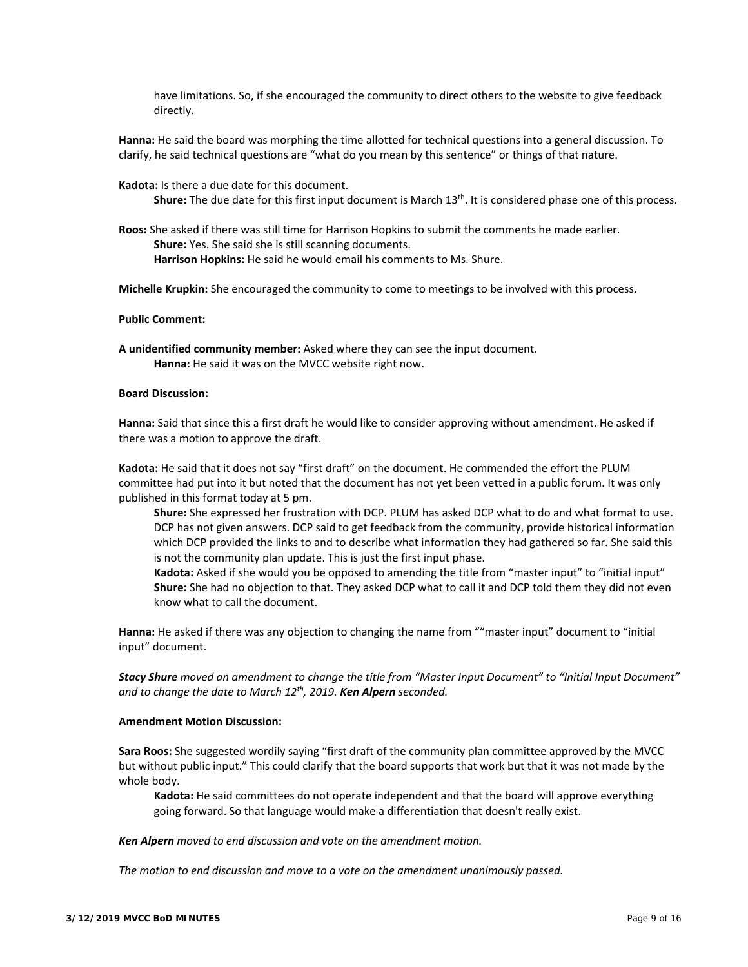have limitations. So, if she encouraged the community to direct others to the website to give feedback directly.

**Hanna:** He said the board was morphing the time allotted for technical questions into a general discussion. To clarify, he said technical questions are "what do you mean by this sentence" or things of that nature.

**Kadota:** Is there a due date for this document.

**Shure:** The due date for this first input document is March 13<sup>th</sup>. It is considered phase one of this process.

**Roos:** She asked if there was still time for Harrison Hopkins to submit the comments he made earlier.  **Shure:** Yes. She said she is still scanning documents.  **Harrison Hopkins:** He said he would email his comments to Ms. Shure.

**Michelle Krupkin:** She encouraged the community to come to meetings to be involved with this process.

#### **Public Comment:**

**A unidentified community member:** Asked where they can see the input document.  **Hanna:** He said it was on the MVCC website right now.

#### **Board Discussion:**

**Hanna:** Said that since this a first draft he would like to consider approving without amendment. He asked if there was a motion to approve the draft.

**Kadota:** He said that it does not say "first draft" on the document. He commended the effort the PLUM committee had put into it but noted that the document has not yet been vetted in a public forum. It was only published in this format today at 5 pm.

**Shure:** She expressed her frustration with DCP. PLUM has asked DCP what to do and what format to use. DCP has not given answers. DCP said to get feedback from the community, provide historical information which DCP provided the links to and to describe what information they had gathered so far. She said this is not the community plan update. This is just the first input phase.

**Kadota:** Asked if she would you be opposed to amending the title from "master input" to "initial input" **Shure:** She had no objection to that. They asked DCP what to call it and DCP told them they did not even know what to call the document.

**Hanna:** He asked if there was any objection to changing the name from ""master input" document to "initial input" document.

*Stacy Shure moved an amendment to change the title from "Master Input Document" to "Initial Input Document" and to change the date to March 12th, 2019. Ken Alpern seconded.* 

### **Amendment Motion Discussion:**

**Sara Roos:** She suggested wordily saying "first draft of the community plan committee approved by the MVCC but without public input." This could clarify that the board supports that work but that it was not made by the whole body.

**Kadota:** He said committees do not operate independent and that the board will approve everything going forward. So that language would make a differentiation that doesn't really exist.

*Ken Alpern moved to end discussion and vote on the amendment motion.* 

*The motion to end discussion and move to a vote on the amendment unanimously passed.*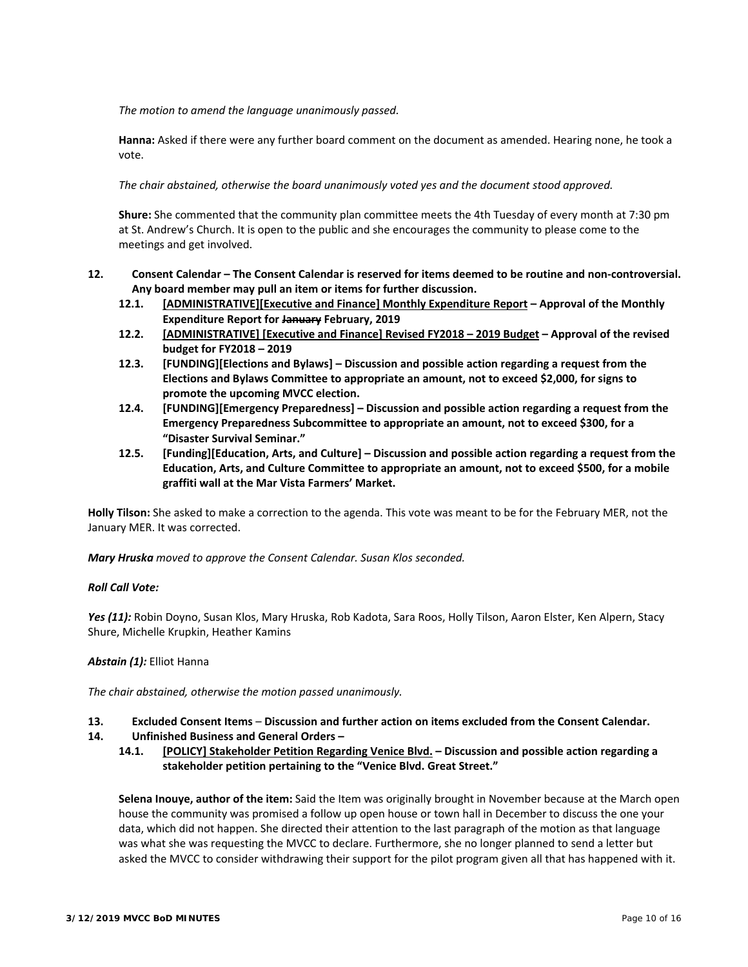*The motion to amend the language unanimously passed.* 

**Hanna:** Asked if there were any further board comment on the document as amended. Hearing none, he took a vote.

*The chair abstained, otherwise the board unanimously voted yes and the document stood approved.* 

**Shure:** She commented that the community plan committee meets the 4th Tuesday of every month at 7:30 pm at St. Andrew's Church. It is open to the public and she encourages the community to please come to the meetings and get involved.

- **12. Consent Calendar The Consent Calendar is reserved for items deemed to be routine and non‐controversial. Any board member may pull an item or items for further discussion.** 
	- **12.1. [ADMINISTRATIVE][Executive and Finance] Monthly Expenditure Report Approval of the Monthly Expenditure Report for January February, 2019**
	- **12.2. [ADMINISTRATIVE] [Executive and Finance] Revised FY2018 2019 Budget Approval of the revised budget for FY2018 – 2019**
	- **12.3. [FUNDING][Elections and Bylaws] Discussion and possible action regarding a request from the Elections and Bylaws Committee to appropriate an amount, not to exceed \$2,000, for signs to promote the upcoming MVCC election.**
	- **12.4. [FUNDING][Emergency Preparedness] Discussion and possible action regarding a request from the Emergency Preparedness Subcommittee to appropriate an amount, not to exceed \$300, for a "Disaster Survival Seminar."**
	- **12.5. [Funding][Education, Arts, and Culture] Discussion and possible action regarding a request from the Education, Arts, and Culture Committee to appropriate an amount, not to exceed \$500, for a mobile graffiti wall at the Mar Vista Farmers' Market.**

**Holly Tilson:** She asked to make a correction to the agenda. This vote was meant to be for the February MER, not the January MER. It was corrected.

*Mary Hruska moved to approve the Consent Calendar. Susan Klos seconded.* 

## *Roll Call Vote:*

*Yes (11):* Robin Doyno, Susan Klos, Mary Hruska, Rob Kadota, Sara Roos, Holly Tilson, Aaron Elster, Ken Alpern, Stacy Shure, Michelle Krupkin, Heather Kamins

## *Abstain (1):* Elliot Hanna

*The chair abstained, otherwise the motion passed unanimously.* 

- **13. Excluded Consent Items Discussion and further action on items excluded from the Consent Calendar.**
- **14. Unfinished Business and General Orders** 
	- **14.1. [POLICY] Stakeholder Petition Regarding Venice Blvd. Discussion and possible action regarding a stakeholder petition pertaining to the "Venice Blvd. Great Street."**

**Selena Inouye, author of the item:** Said the Item was originally brought in November because at the March open house the community was promised a follow up open house or town hall in December to discuss the one your data, which did not happen. She directed their attention to the last paragraph of the motion as that language was what she was requesting the MVCC to declare. Furthermore, she no longer planned to send a letter but asked the MVCC to consider withdrawing their support for the pilot program given all that has happened with it.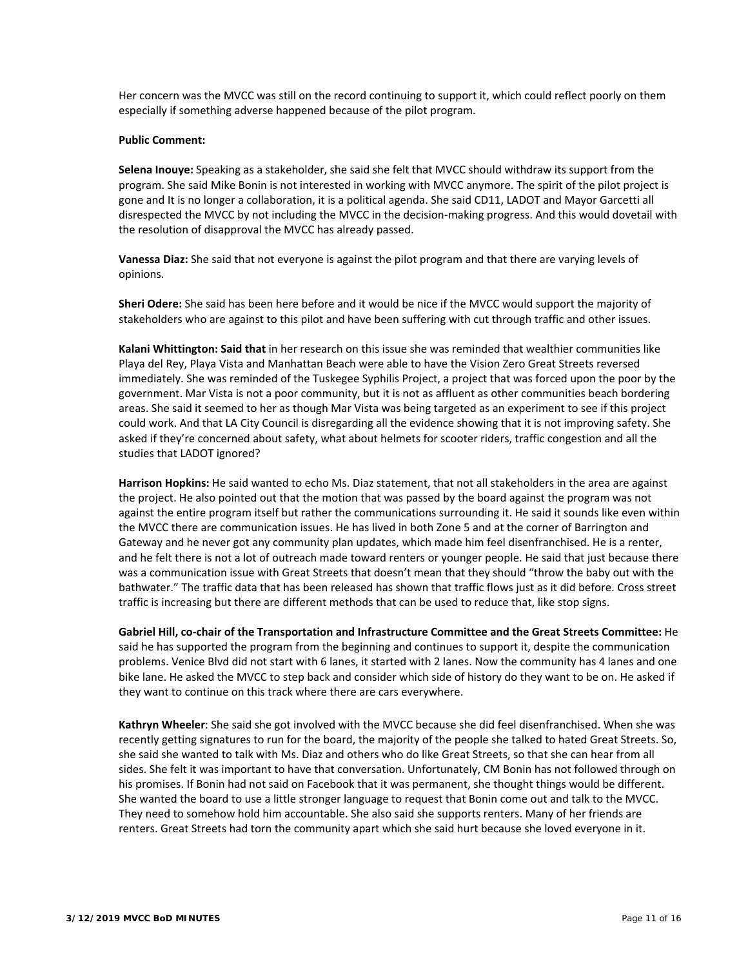Her concern was the MVCC was still on the record continuing to support it, which could reflect poorly on them especially if something adverse happened because of the pilot program.

#### **Public Comment:**

**Selena Inouye:** Speaking as a stakeholder, she said she felt that MVCC should withdraw its support from the program. She said Mike Bonin is not interested in working with MVCC anymore. The spirit of the pilot project is gone and It is no longer a collaboration, it is a political agenda. She said CD11, LADOT and Mayor Garcetti all disrespected the MVCC by not including the MVCC in the decision‐making progress. And this would dovetail with the resolution of disapproval the MVCC has already passed.

**Vanessa Diaz:** She said that not everyone is against the pilot program and that there are varying levels of opinions.

**Sheri Odere:** She said has been here before and it would be nice if the MVCC would support the majority of stakeholders who are against to this pilot and have been suffering with cut through traffic and other issues.

**Kalani Whittington: Said that** in her research on this issue she was reminded that wealthier communities like Playa del Rey, Playa Vista and Manhattan Beach were able to have the Vision Zero Great Streets reversed immediately. She was reminded of the Tuskegee Syphilis Project, a project that was forced upon the poor by the government. Mar Vista is not a poor community, but it is not as affluent as other communities beach bordering areas. She said it seemed to her as though Mar Vista was being targeted as an experiment to see if this project could work. And that LA City Council is disregarding all the evidence showing that it is not improving safety. She asked if they're concerned about safety, what about helmets for scooter riders, traffic congestion and all the studies that LADOT ignored?

**Harrison Hopkins:** He said wanted to echo Ms. Diaz statement, that not all stakeholders in the area are against the project. He also pointed out that the motion that was passed by the board against the program was not against the entire program itself but rather the communications surrounding it. He said it sounds like even within the MVCC there are communication issues. He has lived in both Zone 5 and at the corner of Barrington and Gateway and he never got any community plan updates, which made him feel disenfranchised. He is a renter, and he felt there is not a lot of outreach made toward renters or younger people. He said that just because there was a communication issue with Great Streets that doesn't mean that they should "throw the baby out with the bathwater." The traffic data that has been released has shown that traffic flows just as it did before. Cross street traffic is increasing but there are different methods that can be used to reduce that, like stop signs.

**Gabriel Hill, co‐chair of the Transportation and Infrastructure Committee and the Great Streets Committee:** He said he has supported the program from the beginning and continues to support it, despite the communication problems. Venice Blvd did not start with 6 lanes, it started with 2 lanes. Now the community has 4 lanes and one bike lane. He asked the MVCC to step back and consider which side of history do they want to be on. He asked if they want to continue on this track where there are cars everywhere.

**Kathryn Wheeler**: She said she got involved with the MVCC because she did feel disenfranchised. When she was recently getting signatures to run for the board, the majority of the people she talked to hated Great Streets. So, she said she wanted to talk with Ms. Diaz and others who do like Great Streets, so that she can hear from all sides. She felt it was important to have that conversation. Unfortunately, CM Bonin has not followed through on his promises. If Bonin had not said on Facebook that it was permanent, she thought things would be different. She wanted the board to use a little stronger language to request that Bonin come out and talk to the MVCC. They need to somehow hold him accountable. She also said she supports renters. Many of her friends are renters. Great Streets had torn the community apart which she said hurt because she loved everyone in it.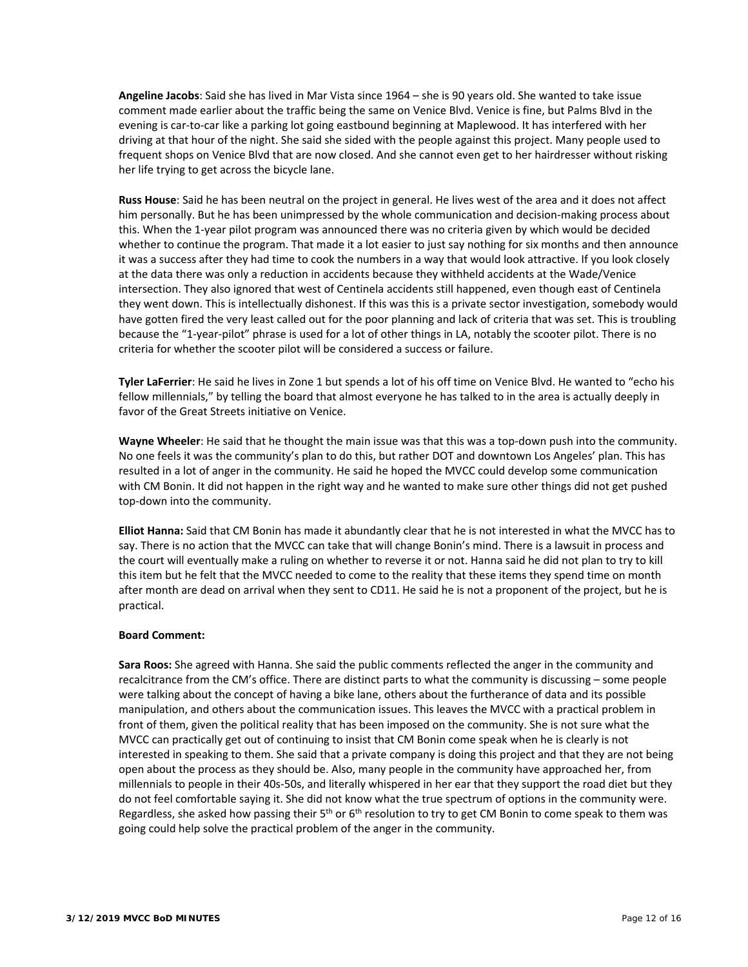**Angeline Jacobs**: Said she has lived in Mar Vista since 1964 – she is 90 years old. She wanted to take issue comment made earlier about the traffic being the same on Venice Blvd. Venice is fine, but Palms Blvd in the evening is car‐to‐car like a parking lot going eastbound beginning at Maplewood. It has interfered with her driving at that hour of the night. She said she sided with the people against this project. Many people used to frequent shops on Venice Blvd that are now closed. And she cannot even get to her hairdresser without risking her life trying to get across the bicycle lane.

**Russ House**: Said he has been neutral on the project in general. He lives west of the area and it does not affect him personally. But he has been unimpressed by the whole communication and decision-making process about this. When the 1‐year pilot program was announced there was no criteria given by which would be decided whether to continue the program. That made it a lot easier to just say nothing for six months and then announce it was a success after they had time to cook the numbers in a way that would look attractive. If you look closely at the data there was only a reduction in accidents because they withheld accidents at the Wade/Venice intersection. They also ignored that west of Centinela accidents still happened, even though east of Centinela they went down. This is intellectually dishonest. If this was this is a private sector investigation, somebody would have gotten fired the very least called out for the poor planning and lack of criteria that was set. This is troubling because the "1‐year‐pilot" phrase is used for a lot of other things in LA, notably the scooter pilot. There is no criteria for whether the scooter pilot will be considered a success or failure.

**Tyler LaFerrier**: He said he lives in Zone 1 but spends a lot of his off time on Venice Blvd. He wanted to "echo his fellow millennials," by telling the board that almost everyone he has talked to in the area is actually deeply in favor of the Great Streets initiative on Venice.

Wayne Wheeler: He said that he thought the main issue was that this was a top-down push into the community. No one feels it was the community's plan to do this, but rather DOT and downtown Los Angeles' plan. This has resulted in a lot of anger in the community. He said he hoped the MVCC could develop some communication with CM Bonin. It did not happen in the right way and he wanted to make sure other things did not get pushed top‐down into the community.

**Elliot Hanna:** Said that CM Bonin has made it abundantly clear that he is not interested in what the MVCC has to say. There is no action that the MVCC can take that will change Bonin's mind. There is a lawsuit in process and the court will eventually make a ruling on whether to reverse it or not. Hanna said he did not plan to try to kill this item but he felt that the MVCC needed to come to the reality that these items they spend time on month after month are dead on arrival when they sent to CD11. He said he is not a proponent of the project, but he is practical.

### **Board Comment:**

**Sara Roos:** She agreed with Hanna. She said the public comments reflected the anger in the community and recalcitrance from the CM's office. There are distinct parts to what the community is discussing – some people were talking about the concept of having a bike lane, others about the furtherance of data and its possible manipulation, and others about the communication issues. This leaves the MVCC with a practical problem in front of them, given the political reality that has been imposed on the community. She is not sure what the MVCC can practically get out of continuing to insist that CM Bonin come speak when he is clearly is not interested in speaking to them. She said that a private company is doing this project and that they are not being open about the process as they should be. Also, many people in the community have approached her, from millennials to people in their 40s‐50s, and literally whispered in her ear that they support the road diet but they do not feel comfortable saying it. She did not know what the true spectrum of options in the community were. Regardless, she asked how passing their  $5<sup>th</sup>$  or 6<sup>th</sup> resolution to try to get CM Bonin to come speak to them was going could help solve the practical problem of the anger in the community.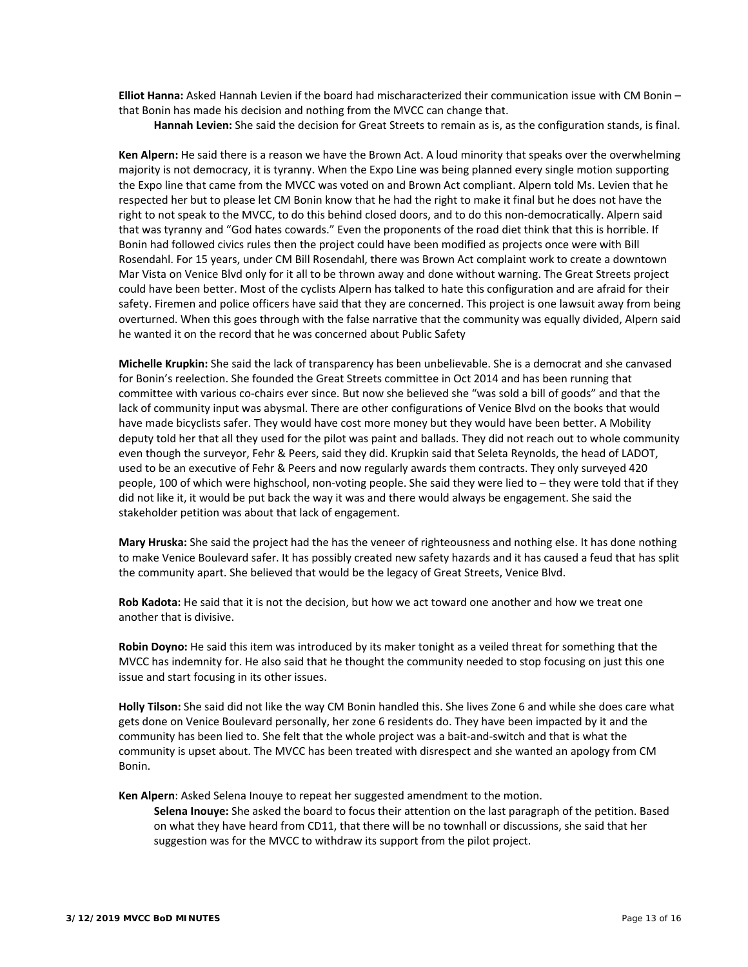**Elliot Hanna:** Asked Hannah Levien if the board had mischaracterized their communication issue with CM Bonin – that Bonin has made his decision and nothing from the MVCC can change that.

 **Hannah Levien:** She said the decision for Great Streets to remain as is, as the configuration stands, is final.

**Ken Alpern:** He said there is a reason we have the Brown Act. A loud minority that speaks over the overwhelming majority is not democracy, it is tyranny. When the Expo Line was being planned every single motion supporting the Expo line that came from the MVCC was voted on and Brown Act compliant. Alpern told Ms. Levien that he respected her but to please let CM Bonin know that he had the right to make it final but he does not have the right to not speak to the MVCC, to do this behind closed doors, and to do this non‐democratically. Alpern said that was tyranny and "God hates cowards." Even the proponents of the road diet think that this is horrible. If Bonin had followed civics rules then the project could have been modified as projects once were with Bill Rosendahl. For 15 years, under CM Bill Rosendahl, there was Brown Act complaint work to create a downtown Mar Vista on Venice Blvd only for it all to be thrown away and done without warning. The Great Streets project could have been better. Most of the cyclists Alpern has talked to hate this configuration and are afraid for their safety. Firemen and police officers have said that they are concerned. This project is one lawsuit away from being overturned. When this goes through with the false narrative that the community was equally divided, Alpern said he wanted it on the record that he was concerned about Public Safety

**Michelle Krupkin:** She said the lack of transparency has been unbelievable. She is a democrat and she canvased for Bonin's reelection. She founded the Great Streets committee in Oct 2014 and has been running that committee with various co‐chairs ever since. But now she believed she "was sold a bill of goods" and that the lack of community input was abysmal. There are other configurations of Venice Blvd on the books that would have made bicyclists safer. They would have cost more money but they would have been better. A Mobility deputy told her that all they used for the pilot was paint and ballads. They did not reach out to whole community even though the surveyor, Fehr & Peers, said they did. Krupkin said that Seleta Reynolds, the head of LADOT, used to be an executive of Fehr & Peers and now regularly awards them contracts. They only surveyed 420 people, 100 of which were highschool, non‐voting people. She said they were lied to – they were told that if they did not like it, it would be put back the way it was and there would always be engagement. She said the stakeholder petition was about that lack of engagement.

**Mary Hruska:** She said the project had the has the veneer of righteousness and nothing else. It has done nothing to make Venice Boulevard safer. It has possibly created new safety hazards and it has caused a feud that has split the community apart. She believed that would be the legacy of Great Streets, Venice Blvd.

**Rob Kadota:** He said that it is not the decision, but how we act toward one another and how we treat one another that is divisive.

**Robin Doyno:** He said this item was introduced by its maker tonight as a veiled threat for something that the MVCC has indemnity for. He also said that he thought the community needed to stop focusing on just this one issue and start focusing in its other issues.

**Holly Tilson:** She said did not like the way CM Bonin handled this. She lives Zone 6 and while she does care what gets done on Venice Boulevard personally, her zone 6 residents do. They have been impacted by it and the community has been lied to. She felt that the whole project was a bait‐and‐switch and that is what the community is upset about. The MVCC has been treated with disrespect and she wanted an apology from CM Bonin.

**Ken Alpern**: Asked Selena Inouye to repeat her suggested amendment to the motion.

**Selena Inouye:** She asked the board to focus their attention on the last paragraph of the petition. Based on what they have heard from CD11, that there will be no townhall or discussions, she said that her suggestion was for the MVCC to withdraw its support from the pilot project.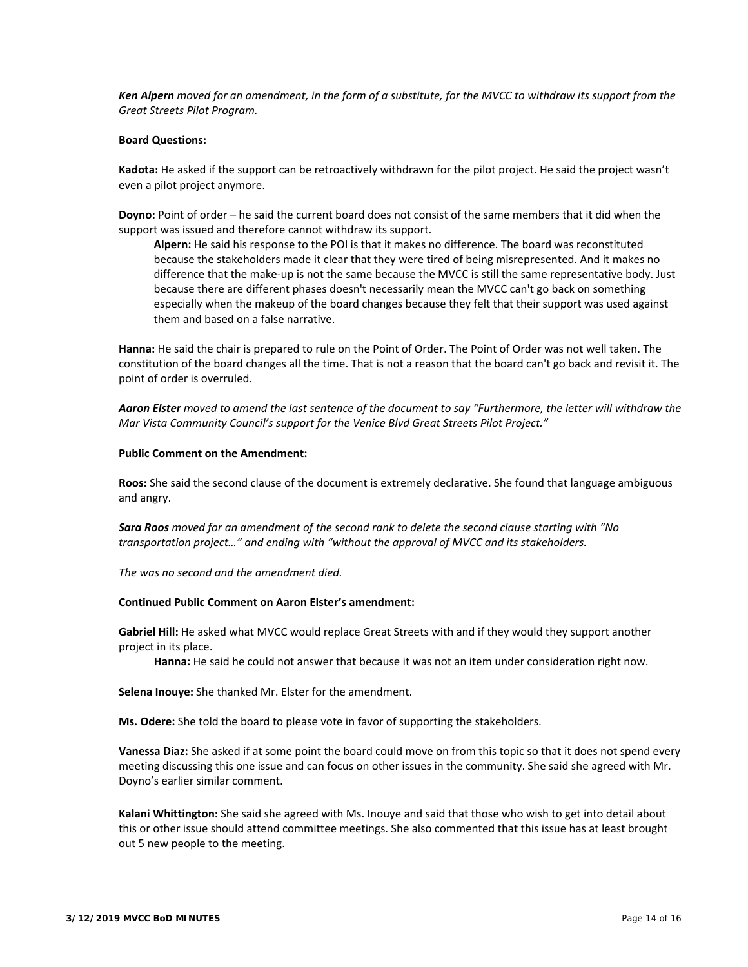*Ken Alpern moved for an amendment, in the form of a substitute, for the MVCC to withdraw its support from the Great Streets Pilot Program.* 

### **Board Questions:**

**Kadota:** He asked if the support can be retroactively withdrawn for the pilot project. He said the project wasn't even a pilot project anymore.

**Doyno:** Point of order – he said the current board does not consist of the same members that it did when the support was issued and therefore cannot withdraw its support.

**Alpern:** He said his response to the POI is that it makes no difference. The board was reconstituted because the stakeholders made it clear that they were tired of being misrepresented. And it makes no difference that the make‐up is not the same because the MVCC is still the same representative body. Just because there are different phases doesn't necessarily mean the MVCC can't go back on something especially when the makeup of the board changes because they felt that their support was used against them and based on a false narrative.

**Hanna:** He said the chair is prepared to rule on the Point of Order. The Point of Order was not well taken. The constitution of the board changes all the time. That is not a reason that the board can't go back and revisit it. The point of order is overruled.

*Aaron Elster moved to amend the last sentence of the document to say "Furthermore, the letter will withdraw the Mar Vista Community Council's support for the Venice Blvd Great Streets Pilot Project."* 

#### **Public Comment on the Amendment:**

**Roos:** She said the second clause of the document is extremely declarative. She found that language ambiguous and angry.

*Sara Roos moved for an amendment of the second rank to delete the second clause starting with "No transportation project…" and ending with "without the approval of MVCC and its stakeholders.* 

*The was no second and the amendment died.* 

#### **Continued Public Comment on Aaron Elster's amendment:**

**Gabriel Hill:** He asked what MVCC would replace Great Streets with and if they would they support another project in its place.

**Hanna:** He said he could not answer that because it was not an item under consideration right now.

**Selena Inouye:** She thanked Mr. Elster for the amendment.

**Ms. Odere:** She told the board to please vote in favor of supporting the stakeholders.

**Vanessa Diaz:** She asked if at some point the board could move on from this topic so that it does not spend every meeting discussing this one issue and can focus on other issues in the community. She said she agreed with Mr. Doyno's earlier similar comment.

**Kalani Whittington:** She said she agreed with Ms. Inouye and said that those who wish to get into detail about this or other issue should attend committee meetings. She also commented that this issue has at least brought out 5 new people to the meeting.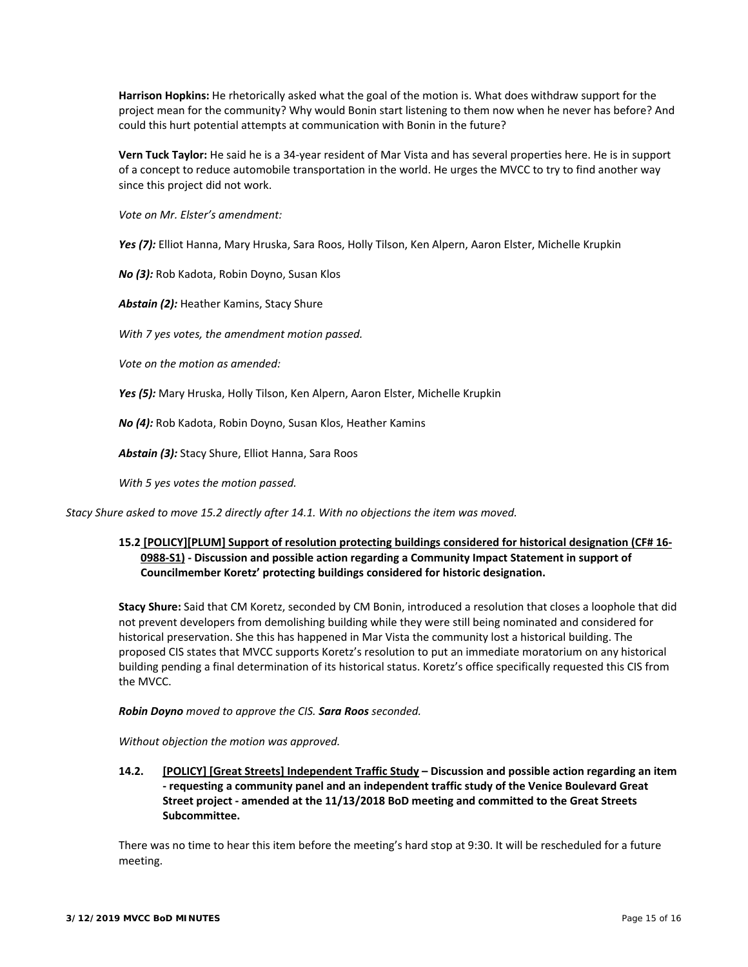**Harrison Hopkins:** He rhetorically asked what the goal of the motion is. What does withdraw support for the project mean for the community? Why would Bonin start listening to them now when he never has before? And could this hurt potential attempts at communication with Bonin in the future?

**Vern Tuck Taylor:** He said he is a 34‐year resident of Mar Vista and has several properties here. He is in support of a concept to reduce automobile transportation in the world. He urges the MVCC to try to find another way since this project did not work.

*Vote on Mr. Elster's amendment:* 

*Yes (7):* Elliot Hanna, Mary Hruska, Sara Roos, Holly Tilson, Ken Alpern, Aaron Elster, Michelle Krupkin

*No (3):* Rob Kadota, Robin Doyno, Susan Klos

*Abstain (2):* Heather Kamins, Stacy Shure

*With 7 yes votes, the amendment motion passed.* 

*Vote on the motion as amended:* 

*Yes (5):* Mary Hruska, Holly Tilson, Ken Alpern, Aaron Elster, Michelle Krupkin

*No (4):* Rob Kadota, Robin Doyno, Susan Klos, Heather Kamins

*Abstain (3):* Stacy Shure, Elliot Hanna, Sara Roos

*With 5 yes votes the motion passed.* 

*Stacy Shure asked to move 15.2 directly after 14.1. With no objections the item was moved.* 

# **15.2 [POLICY][PLUM] Support of resolution protecting buildings considered for historical designation (CF# 16‐ 0988‐S1) ‐ Discussion and possible action regarding a Community Impact Statement in support of Councilmember Koretz' protecting buildings considered for historic designation.**

**Stacy Shure:** Said that CM Koretz, seconded by CM Bonin, introduced a resolution that closes a loophole that did not prevent developers from demolishing building while they were still being nominated and considered for historical preservation. She this has happened in Mar Vista the community lost a historical building. The proposed CIS states that MVCC supports Koretz's resolution to put an immediate moratorium on any historical building pending a final determination of its historical status. Koretz's office specifically requested this CIS from the MVCC.

*Robin Doyno moved to approve the CIS. Sara Roos seconded.* 

*Without objection the motion was approved.* 

**14.2. [POLICY] [Great Streets] Independent Traffic Study – Discussion and possible action regarding an item ‐ requesting a community panel and an independent traffic study of the Venice Boulevard Great Street project ‐ amended at the 11/13/2018 BoD meeting and committed to the Great Streets Subcommittee.** 

There was no time to hear this item before the meeting's hard stop at 9:30. It will be rescheduled for a future meeting.